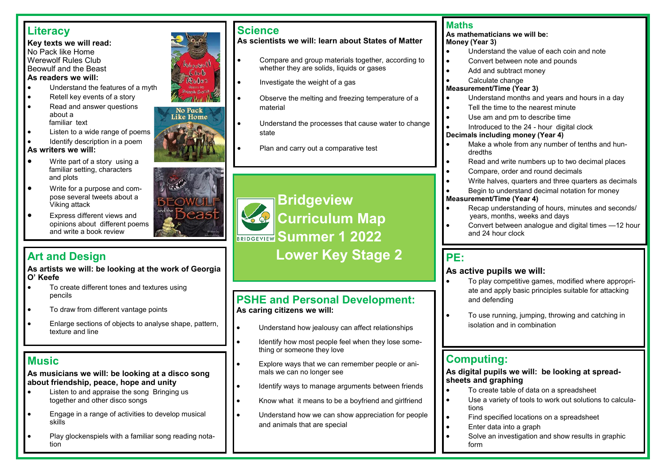# **Literacy**

#### **Key texts we will read:** No Pack like Home Werewolf Rules Club Beowulf and the Beast **As readers we will:**

- Understand the features of a myth
- Retell key events of a story
- Read and answer questions about a familiar text
- Listen to a wide range of poems
- Identify description in a poem

#### **As writers we will:**

- Write part of a story using a familiar setting, characters and plots
- Write for a purpose and compose several tweets about a Viking attack
- Express different views and opinions about different poems and write a book review

**As artists we will: be looking at the work of Georgia O' Keefe**

- To create different tones and textures using pencils
- To draw from different vantage points
- Enlarge sections of objects to analyse shape, pattern, texture and line

# **Music**

**As musicians we will: be looking at a disco song about friendship, peace, hope and unity**

- Listen to and appraise the song Bringing us together and other disco songs
- Engage in a range of activities to develop musical skills
- Play glockenspiels with a familiar song reading notation



**As scientists we will: learn about States of Matter**

- Compare and group materials together, according to whether they are solids, liquids or gases
- Investigate the weight of a gas
- Observe the melting and freezing temperature of a material
- Understand the processes that cause water to change state
- Plan and carry out a comparative test

# **Bridgeview Curriculum Map SRIDGEVIEW SUMMER 1 2022 Art and Design The Contract of Lower Key Stage 2**

### **PSHE and Personal Development: As caring citizens we will:**

- Understand how jealousy can affect relationships
- Identify how most people feel when they lose something or someone they love
- Explore ways that we can remember people or animals we can no longer see
- Identify ways to manage arguments between friends
- Know what it means to be a boyfriend and girlfriend
- Understand how we can show appreciation for people and animals that are special

### **Maths**

#### **As mathematicians we will be: Money (Year 3)**

- Understand the value of each coin and note
- Convert between note and pounds
- Add and subtract money
- Calculate change

#### **Measurement/Time (Year 3)**

- Understand months and years and hours in a day
- Tell the time to the nearest minute
- Use am and pm to describe time
- Introduced to the 24 hour digital clock

#### **Decimals including money (Year 4)**

- Make a whole from any number of tenths and hundredths
- Read and write numbers up to two decimal places
- Compare, order and round decimals
- Write halves, quarters and three quarters as decimals
- Begin to understand decimal notation for money

#### **Measurement/Time (Year 4)**

- Recap understanding of hours, minutes and seconds/ years, months, weeks and days
- Convert between analogue and digital times —12 hour and 24 hour clock

## **PE:**

### **As active pupils we will:**

- To play competitive games, modified where appropriate and apply basic principles suitable for attacking and defending
- To use running, jumping, throwing and catching in isolation and in combination

# **Computing:**

**As digital pupils we will: be looking at spreadsheets and graphing**

- To create table of data on a spreadsheet
- Use a variety of tools to work out solutions to calculations
- Find specified locations on a spreadsheet
- Enter data into a graph
- Solve an investigation and show results in graphic form



Werewolf  $C10b$ Rules Freenth Cost M

**No Pack Like Home**